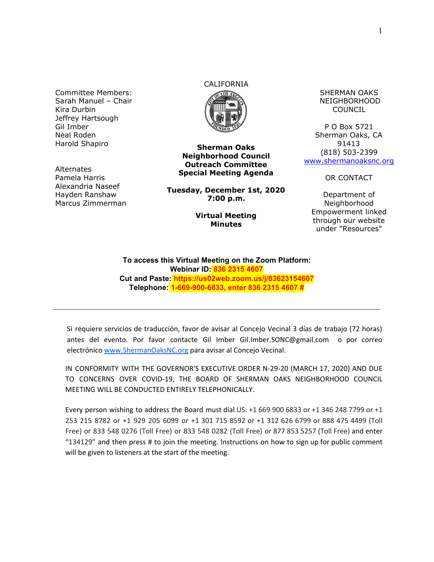Committee Members: Sarah Manuel – Chair Kira Durbin Jeffrey Hartsough Gil Imber Neal Roden Harold Shapiro

**Alternates** Pamela Harris Alexandria Naseef Hayden Ranshaw Marcus Zimmerman

# CALIFORNIA



**Sherman Oaks Neighborhood Council Outreach Committee Special Meeting Agenda**

**Tuesday, December 1st, 2020 7:00 p.m.**

#### **Virtual Meeting Minutes**

SHERMAN OAKS NEIGHBORHOOD COUNCIL

P O Box 5721 Sherman Oaks, CA 91413 (818) 503-2399 [www.shermanoaksnc.org](http://www.shermanoaksnc.org/)

OR CONTACT

Department of Neighborhood Empowerment linked through our website under "Resources"

**To access this Virtual Meeting on the Zoom Platform: Webinar ID: 836 2315 4607 Cut and Paste: https://us02web.zoom.us/j/83623154607 Telephone: 1-669-900-6833, enter 836 2315 4607 #**

Si requiere servicios de traducción, favor de avisar al Concejo Vecinal 3 días de trabajo (72 horas) antes del evento. Por favor contacte Gil Imber Gil.Imber.SONC@gmail.com o por correo electrónico [www.ShermanOaksNC.org](http://www.shermanoaksnc.org/) para avisar al Concejo Vecinal.

IN CONFORMITY WITH THE GOVERNOR'S EXECUTIVE ORDER N-29-20 (MARCH 17, 2020) AND DUE TO CONCERNS OVER COVID-19, THE BOARD OF SHERMAN OAKS NEIGHBORHOOD COUNCIL MEETING WILL BE CONDUCTED ENTIRELY TELEPHONICALLY.

Every person wishing to address the Board must dial US: +1 669 900 6833 or +1 346 248 7799 or +1 253 215 8782 or +1 929 205 6099 or +1 301 715 8592 or +1 312 626 6799 or 888 475 4499 (Toll Free) or 833 548 0276 (Toll Free) or 833 548 0282 (Toll Free) or 877 853 5257 (Toll Free) and enter "134129" and then press # to join the meeting. Instructions on how to sign up for public comment will be given to listeners at the start of the meeting.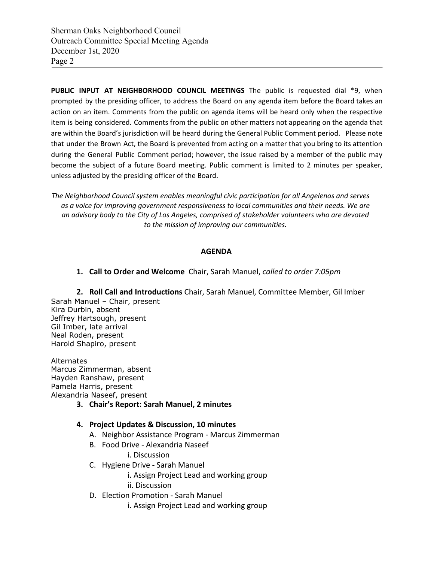**PUBLIC INPUT AT NEIGHBORHOOD COUNCIL MEETINGS** The public is requested dial \*9, when prompted by the presiding officer, to address the Board on any agenda item before the Board takes an action on an item. Comments from the public on agenda items will be heard only when the respective item is being considered. Comments from the public on other matters not appearing on the agenda that are within the Board's jurisdiction will be heard during the General Public Comment period. Please note that under the Brown Act, the Board is prevented from acting on a matter that you bring to its attention during the General Public Comment period; however, the issue raised by a member of the public may become the subject of a future Board meeting. Public comment is limited to 2 minutes per speaker, unless adjusted by the presiding officer of the Board.

*The Neighborhood Council system enables meaningful civic participation for all Angelenos and serves as a voice for improving government responsiveness to local communities and their needs. We are an advisory body to the City of Los Angeles, comprised of stakeholder volunteers who are devoted to the mission of improving our communities.*

### **AGENDA**

**1. Call to Order and Welcome** Chair, Sarah Manuel, *called to order 7:05pm*

**2. Roll Call and Introductions** Chair, Sarah Manuel, Committee Member, Gil Imber Sarah Manuel – Chair, present Kira Durbin, absent Jeffrey Hartsough, present Gil Imber, late arrival Neal Roden, present Harold Shapiro, present

Alternates Marcus Zimmerman, absent Hayden Ranshaw, present Pamela Harris, present Alexandria Naseef, present

**3. Chair's Report: Sarah Manuel, 2 minutes**

#### **4. Project Updates & Discussion, 10 minutes**

- A. Neighbor Assistance Program Marcus Zimmerman
- B. Food Drive Alexandria Naseef

i. Discussion

- C. Hygiene Drive Sarah Manuel
	- i. Assign Project Lead and working group
	- ii. Discussion
- D. Election Promotion Sarah Manuel
	- i. Assign Project Lead and working group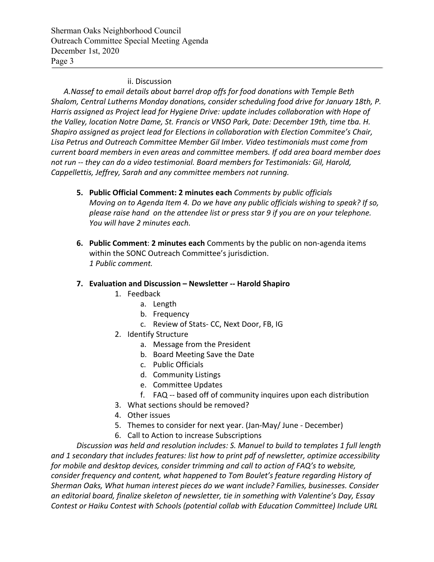Sherman Oaks Neighborhood Council Outreach Committee Special Meeting Agenda December 1st, 2020 Page 3

## ii. Discussion

*A.Nassef to email details about barrel drop offs for food donations with Temple Beth Shalom, Central Lutherns Monday donations, consider scheduling food drive for January 18th, P. Harris assigned as Project lead for Hygiene Drive: update includes collaboration with Hope of the Valley, location Notre Dame, St. Francis or VNSO Park, Date: December 19th, time tba. H. Shapiro assigned as project lead for Elections in collaboration with Election Commitee's Chair, Lisa Petrus and Outreach Committee Member Gil Imber. Video testimonials must come from current board members in even areas and committee members. If odd area board member does not run -- they can do a video testimonial. Board members for Testimonials: Gil, Harold, Cappellettis, Jeffrey, Sarah and any committee members not running.*

- **5. Public Official Comment: 2 minutes each** *Comments by public officials Moving on to Agenda Item 4. Do we have any public officials wishing to speak? If so, please raise hand on the attendee list or press star 9 if you are on your telephone. You will have 2 minutes each.*
- **6. Public Comment**: **2 minutes each** Comments by the public on non-agenda items within the SONC Outreach Committee's jurisdiction. *1 Public comment.*
- **7. Evaluation and Discussion Newsletter -- Harold Shapiro**
	- 1. Feedback
		- a. Length
			- b. Frequency
			- c. Review of Stats- CC, Next Door, FB, IG
	- 2. Identify Structure
		- a. Message from the President
		- b. Board Meeting Save the Date
		- c. Public Officials
		- d. Community Listings
		- e. Committee Updates
		- f. FAQ -- based off of community inquires upon each distribution
	- 3. What sections should be removed?
	- 4. Other issues
	- 5. Themes to consider for next year. (Jan-May/ June December)
	- 6. Call to Action to increase Subscriptions

*Discussion was held and resolution includes: S. Manuel to build to templates 1 full length and 1 secondary that includes features: list how to print pdf of newsletter, optimize accessibility for mobile and desktop devices, consider trimming and call to action of FAQ's to website, consider frequency and content, what happened to Tom Boulet's feature regarding History of Sherman Oaks, What human interest pieces do we want include? Families, businesses. Consider an editorial board, finalize skeleton of newsletter, tie in something with Valentine's Day, Essay Contest or Haiku Contest with Schools (potential collab with Education Committee) Include URL*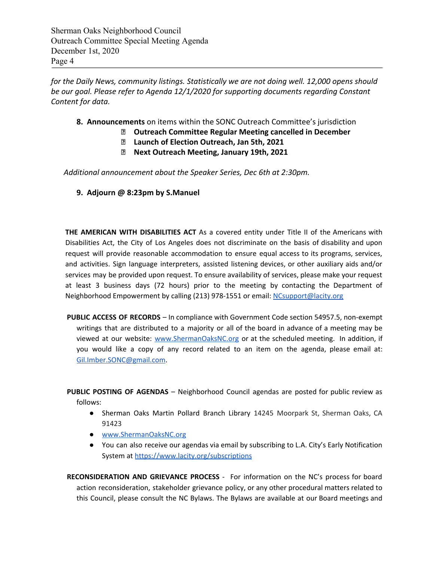Sherman Oaks Neighborhood Council Outreach Committee Special Meeting Agenda December 1st, 2020 Page 4

*for the Daily News, community listings. Statistically we are not doing well. 12,000 opens should be our goal. Please refer to Agenda 12/1/2020 for supporting documents regarding Constant Content for data.*

- **8. Announcements** on items within the SONC Outreach Committee's jurisdiction
	- **Outreach Committee Regular Meeting cancelled in December**
		- **Launch of Election Outreach, Jan 5th, 2021**
		- **Next Outreach Meeting, January 19th, 2021**

*Additional announcement about the Speaker Series, Dec 6th at 2:30pm.*

**9. Adjourn @ 8:23pm by S.Manuel**

**THE AMERICAN WITH DISABILITIES ACT** As a covered entity under Title II of the Americans with Disabilities Act, the City of Los Angeles does not discriminate on the basis of disability and upon request will provide reasonable accommodation to ensure equal access to its programs, services, and activities. Sign language interpreters, assisted listening devices, or other auxiliary aids and/or services may be provided upon request. To ensure availability of services, please make your request at least 3 business days (72 hours) prior to the meeting by contacting the Department of Neighborhood Empowerment by calling (213) 978-1551 or email: [NCsupport@lacity.org](mailto:NCsupport@lacity.org)

**PUBLIC ACCESS OF RECORDS** – In compliance with Government Code section 54957.5, non-exempt writings that are distributed to a majority or all of the board in advance of a meeting may be viewed at our website: [www.ShermanOaksNC.org](http://www.shermanoaksnc.org/) or at the scheduled meeting. In addition, if you would like a copy of any record related to an item on the agenda, please email at: [Gil.Imber.SONC@gmail.com](mailto:Gil.Imber.SONC@gmail.com).

**PUBLIC POSTING OF AGENDAS** – Neighborhood Council agendas are posted for public review as follows:

- Sherman Oaks Martin Pollard Branch Library 14245 Moorpark St, Sherman Oaks, CA 91423
- [www.ShermanOaksNC.org](http://www.shermanoaksnc.org/)
- You can also receive our agendas via email by subscribing to L.A. City's Early Notification System at <https://www.lacity.org/subscriptions>

**RECONSIDERATION AND GRIEVANCE PROCESS** - For information on the NC's process for board action reconsideration, stakeholder grievance policy, or any other procedural matters related to this Council, please consult the NC Bylaws. The Bylaws are available at our Board meetings and